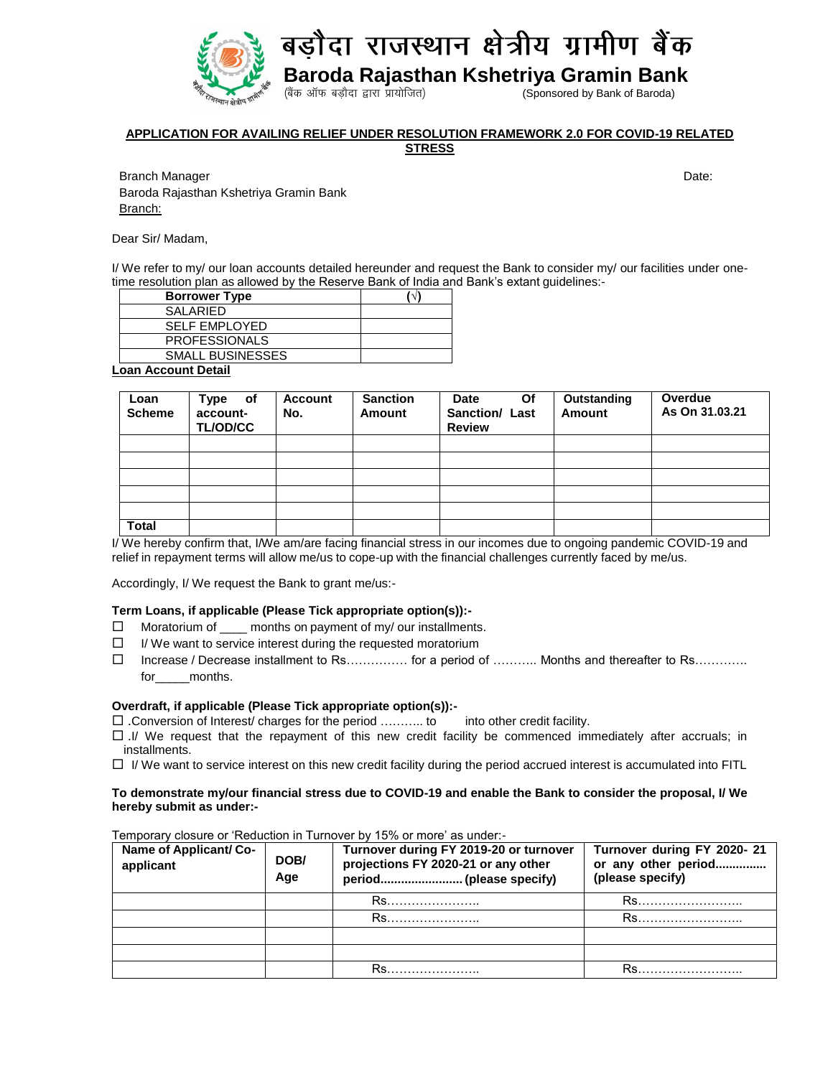

**APPLICATION FOR AVAILING RELIEF UNDER RESOLUTION FRAMEWORK 2.0 FOR COVID-19 RELATED STRESS**

Branch Manager Date: Note: Note: Note: Note: Note: Note: Note: Note: Note: Note: Note: Date: Date: Note: Note: Note: Note: Note: Note: Note: Note: Note: Note: Note: Note: Note: Note: Note: Note: Note: Note: Note: Note: Not Baroda Rajasthan Kshetriya Gramin Bank Branch:

Dear Sir/ Madam,

I/ We refer to my/ our loan accounts detailed hereunder and request the Bank to consider my/ our facilities under onetime resolution plan as allowed by the Reserve Bank of India and Bank's extant guidelines:-

| <b>Borrower Type</b>    |  |
|-------------------------|--|
| SALARIED                |  |
| <b>SELF EMPLOYED</b>    |  |
| <b>PROFESSIONALS</b>    |  |
| <b>SMALL BUSINESSES</b> |  |
| ______                  |  |

**Loan Account Detail**

| Loan<br><b>Scheme</b> | Type of<br>account-<br><b>TL/OD/CC</b> | <b>Account</b><br>No. | <b>Sanction</b><br>Amount | Date<br>Οf<br><b>Sanction/ Last</b><br><b>Review</b> | Outstanding<br>Amount | Overdue<br>As On 31.03.21 |
|-----------------------|----------------------------------------|-----------------------|---------------------------|------------------------------------------------------|-----------------------|---------------------------|
|                       |                                        |                       |                           |                                                      |                       |                           |
|                       |                                        |                       |                           |                                                      |                       |                           |
|                       |                                        |                       |                           |                                                      |                       |                           |
|                       |                                        |                       |                           |                                                      |                       |                           |
|                       |                                        |                       |                           |                                                      |                       |                           |
| <b>Total</b>          |                                        |                       |                           |                                                      |                       |                           |

I/ We hereby confirm that, I/We am/are facing financial stress in our incomes due to ongoing pandemic COVID-19 and relief in repayment terms will allow me/us to cope-up with the financial challenges currently faced by me/us.

Accordingly, I/ We request the Bank to grant me/us:-

## **Term Loans, if applicable (Please Tick appropriate option(s)):-**

- $\Box$  Moratorium of  $\_\_\_\$ months on payment of my/ our installments.
- $\Box$  I/ We want to service interest during the requested moratorium
- Increase / Decrease installment to Rs…………… for a period of ……….. Months and thereafter to Rs…………. for months.

## **Overdraft, if applicable (Please Tick appropriate option(s)):-**

 $\square$ . Conversion of Interest/ charges for the period ........... to into other credit facility.

- $\Box$ .I/ We request that the repayment of this new credit facility be commenced immediately after accruals; in installments.
- $\Box$  I/ We want to service interest on this new credit facility during the period accrued interest is accumulated into FITL

#### **To demonstrate my/our financial stress due to COVID-19 and enable the Bank to consider the proposal, I/ We hereby submit as under:-**

Temporary closure or 'Reduction in Turnover by 15% or more' as under:-

| Name of Applicant/ Co-<br>applicant | DOB/<br>Age | Turnover during FY 2019-20 or turnover<br>projections FY 2020-21 or any other | Turnover during FY 2020-21<br>or any other period<br>(please specify) |
|-------------------------------------|-------------|-------------------------------------------------------------------------------|-----------------------------------------------------------------------|
|                                     |             |                                                                               |                                                                       |
|                                     |             | $Rs_{\dots}$                                                                  |                                                                       |
|                                     |             |                                                                               |                                                                       |
|                                     |             |                                                                               |                                                                       |
|                                     |             |                                                                               |                                                                       |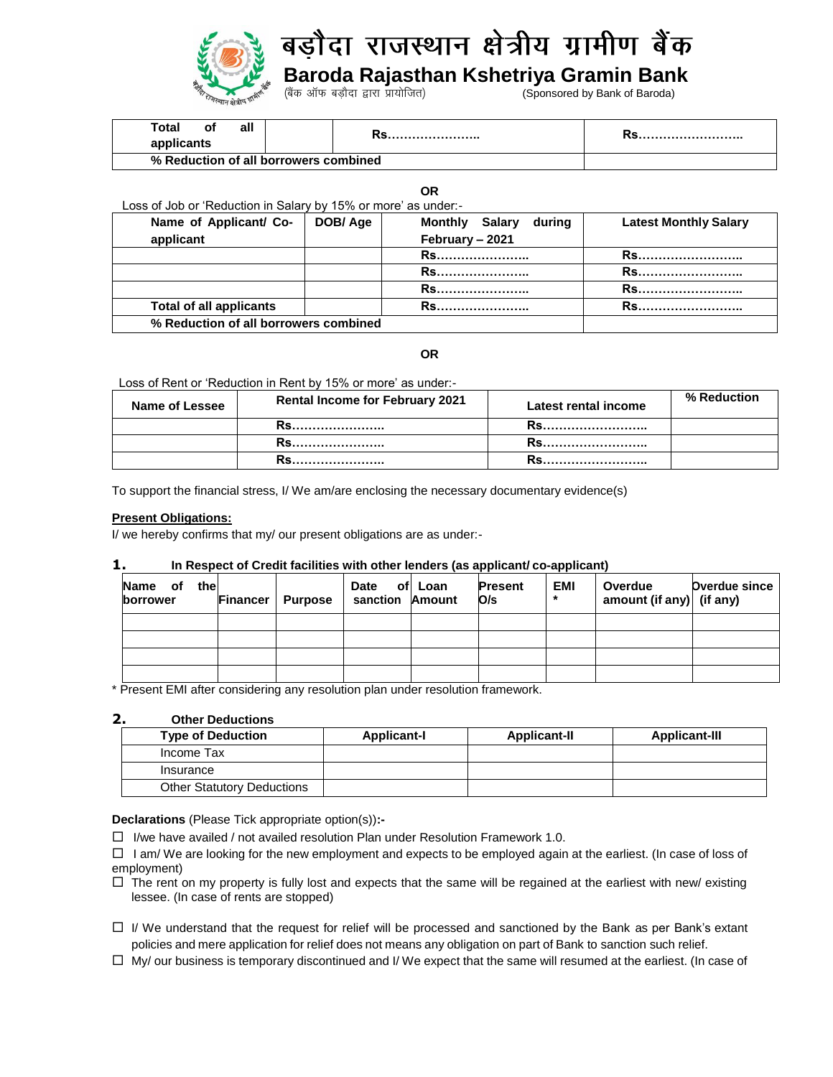

## ौदा राजस्थान क्षेत्रीय ग्रामीण बैंक बर्ने

 **Baroda Rajasthan Kshetriya Gramin Bank**

**(Sponsored by Bank of Baroda)** 

| Total<br>al.<br>O۱                    |  |  |
|---------------------------------------|--|--|
| % Reduction of all borrowers combined |  |  |

**OR**

Loss of Job or 'Reduction in Salary by 15% or more' as under:-

| Name of Applicant/ Co-                | DOB/Age | <b>Monthly Salary</b><br>during | <b>Latest Monthly Salary</b> |
|---------------------------------------|---------|---------------------------------|------------------------------|
| applicant                             |         | February - 2021                 |                              |
|                                       |         | <b>RS</b>                       | <b>RS</b>                    |
|                                       |         | <b>Rs</b>                       | Rs.                          |
|                                       |         | <b>Rs</b>                       | Rs                           |
| <b>Total of all applicants</b>        |         | <b>RS</b>                       | Rs                           |
| % Reduction of all borrowers combined |         |                                 |                              |

# **OR**

Loss of Rent or 'Reduction in Rent by 15% or more' as under:-

| Name of Lessee | <b>Rental Income for February 2021</b> | <b>Latest rental income</b> | % Reduction |
|----------------|----------------------------------------|-----------------------------|-------------|
|                |                                        |                             |             |
|                |                                        |                             |             |
|                |                                        |                             |             |

To support the financial stress, I/ We am/are enclosing the necessary documentary evidence(s)

#### **Present Obligations:**

I/ we hereby confirms that my/ our present obligations are as under:-

## **1. In Respect of Credit facilities with other lenders (as applicant/ co-applicant)**

| thel<br><b>Name</b><br>оf<br>borrower | <b>Financer</b> | <b>Purpose</b> | <b>Date</b><br>sanction Amount | ofl Loan | <b>Present</b><br>O/s | <b>EMI</b><br>* | Overdue<br>amount (if any) (if any) | <b>Overdue since</b> |
|---------------------------------------|-----------------|----------------|--------------------------------|----------|-----------------------|-----------------|-------------------------------------|----------------------|
|                                       |                 |                |                                |          |                       |                 |                                     |                      |
|                                       |                 |                |                                |          |                       |                 |                                     |                      |
|                                       |                 |                |                                |          |                       |                 |                                     |                      |
|                                       |                 |                |                                |          |                       |                 |                                     |                      |

\* Present EMI after considering any resolution plan under resolution framework.

# **2. Other Deductions**

| <b>Type of Deduction</b>          | <b>Applicant-I</b> | <b>Applicant-II</b> | <b>Applicant-III</b> |
|-----------------------------------|--------------------|---------------------|----------------------|
| Income Tax                        |                    |                     |                      |
| Insurance                         |                    |                     |                      |
| <b>Other Statutory Deductions</b> |                    |                     |                      |

**Declarations** (Please Tick appropriate option(s))**:-**

 $\Box$  I/we have availed / not availed resolution Plan under Resolution Framework 1.0.

 $\Box$  I am/ We are looking for the new employment and expects to be employed again at the earliest. (In case of loss of employment)

- $\Box$  The rent on my property is fully lost and expects that the same will be regained at the earliest with new/ existing lessee. (In case of rents are stopped)
- $\Box$  I/ We understand that the request for relief will be processed and sanctioned by the Bank as per Bank's extant policies and mere application for relief does not means any obligation on part of Bank to sanction such relief.
- $\Box$  My/ our business is temporary discontinued and I/ We expect that the same will resumed at the earliest. (In case of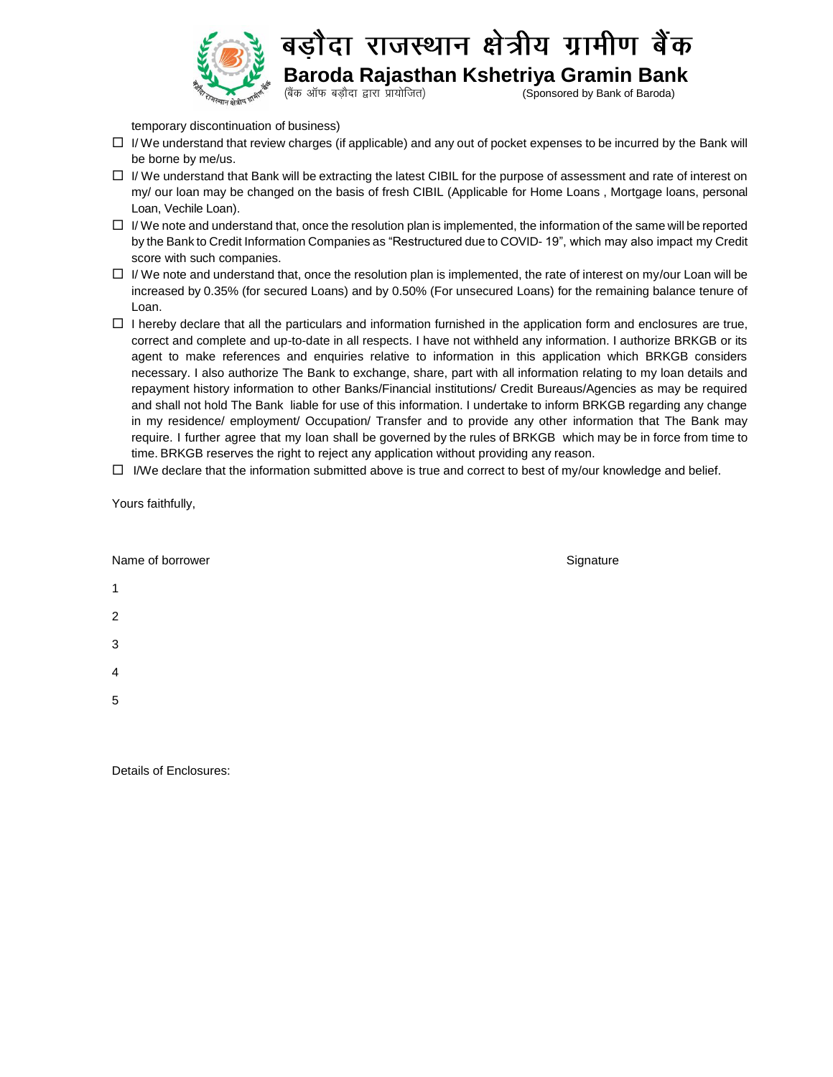

ोदा राजस्थान क्षेत्रीय ग्रामीण बैंक बर्न

 **Baroda Rajasthan Kshetriya Gramin Bank**

(बैंक ऑफ बड़ौदा द्वारा प्रायोजित) (Sponsored by Bank of Baroda)

temporary discontinuation of business)

- $\Box$  I/ We understand that review charges (if applicable) and any out of pocket expenses to be incurred by the Bank will be borne by me/us.
- $\Box$  I/ We understand that Bank will be extracting the latest CIBIL for the purpose of assessment and rate of interest on my/ our loan may be changed on the basis of fresh CIBIL (Applicable for Home Loans , Mortgage loans, personal Loan, Vechile Loan).
- $\Box$  I/ We note and understand that, once the resolution plan is implemented, the information of the same will be reported by the Bank to Credit Information Companies as "Restructured due to COVID- 19", which may also impact my Credit score with such companies.
- $\Box$  I/ We note and understand that, once the resolution plan is implemented, the rate of interest on my/our Loan will be increased by 0.35% (for secured Loans) and by 0.50% (For unsecured Loans) for the remaining balance tenure of Loan.
- $\Box$  I hereby declare that all the particulars and information furnished in the application form and enclosures are true, correct and complete and up-to-date in all respects. I have not withheld any information. I authorize BRKGB or its agent to make references and enquiries relative to information in this application which BRKGB considers necessary. I also authorize The Bank to exchange, share, part with all information relating to my loan details and repayment history information to other Banks/Financial institutions/ Credit Bureaus/Agencies as may be required and shall not hold The Bank liable for use of this information. I undertake to inform BRKGB regarding any change in my residence/ employment/ Occupation/ Transfer and to provide any other information that The Bank may require. I further agree that my loan shall be governed by the rules of BRKGB which may be in force from time to time. BRKGB reserves the right to reject any application without providing any reason.
- $\Box$  I/We declare that the information submitted above is true and correct to best of my/our knowledge and belief.

Yours faithfully,

| Name of borrower                                                         | Signature |
|--------------------------------------------------------------------------|-----------|
| $\mathbf{1}$                                                             |           |
| $\overline{2}$                                                           |           |
| $\mathbf 3$                                                              |           |
| $\overline{4}$                                                           |           |
| $\sqrt{5}$                                                               |           |
|                                                                          |           |
| $\mathbf{r}$ , $\mathbf{r}$ , $\mathbf{r}$ , $\mathbf{r}$ , $\mathbf{r}$ |           |

Details of Enclosures: